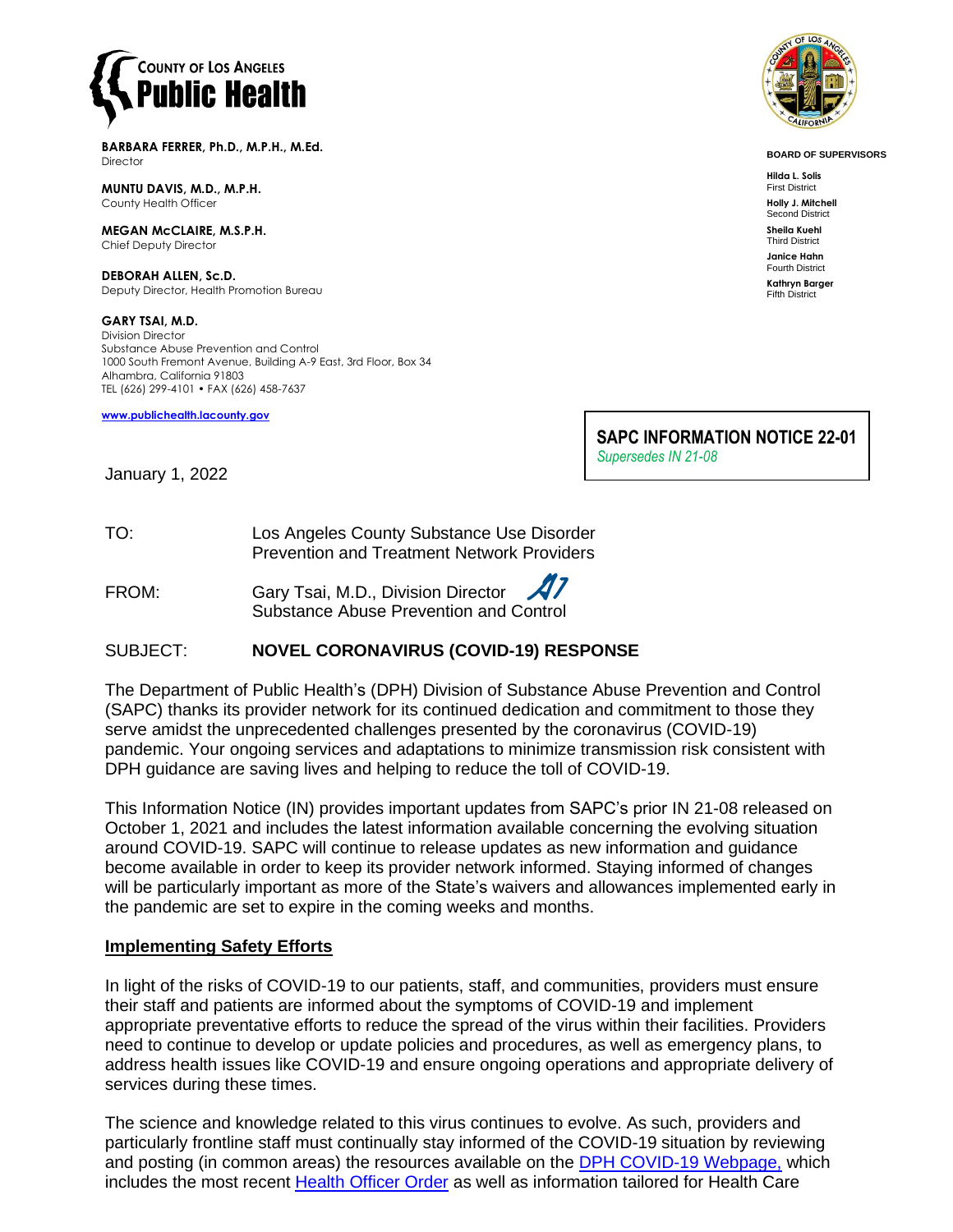

**BARBARA FERRER, Ph.D., M.P.H., M.Ed. Director** 

**MUNTU DAVIS, M.D., M.P.H.** County Health Officer

**MEGAN McCLAIRE, M.S.P.H.** Chief Deputy Director

**DEBORAH ALLEN, Sc.D.** Deputy Director, Health Promotion Bureau

**GARY TSAI, M.D.** Division Director Substance Abuse Prevention and Control 1000 South Fremont Avenue, Building A-9 East, 3rd Floor, Box 34 Alhambra, California 91803 TEL (626) 299-4101 • FAX (626) 458-7637

**[www.publichealth.lacounty.gov](http://www.publichealth.lacounty.gov/)**



**BOARD OF SUPERVISORS**

**Hilda L. Solis** First District

**Holly J. Mitchell** Second District

**Sheila Kuehl** Third District

**Janice Hahn** Fourth District **Kathryn Barger** Fifth District

**SAPC INFORMATION NOTICE 22-01** *Supersedes IN 21-08* 

January 1, 2022

TO: Los Angeles County Substance Use Disorder Prevention and Treatment Network Providers

FROM: Gary Tsai, M.D., Division Director Substance Abuse Prevention and Control

## SUBJECT: **NOVEL CORONAVIRUS (COVID-19) RESPONSE**

The Department of Public Health's (DPH) Division of Substance Abuse Prevention and Control (SAPC) thanks its provider network for its continued dedication and commitment to those they serve amidst the unprecedented challenges presented by the coronavirus (COVID-19) pandemic. Your ongoing services and adaptations to minimize transmission risk consistent with DPH guidance are saving lives and helping to reduce the toll of COVID-19.

This Information Notice (IN) provides important updates from SAPC's prior IN 21-08 released on October 1, 2021 and includes the latest information available concerning the evolving situation around COVID-19. SAPC will continue to release updates as new information and guidance become available in order to keep its provider network informed. Staying informed of changes will be particularly important as more of the State's waivers and allowances implemented early in the pandemic are set to expire in the coming weeks and months.

### **Implementing Safety Efforts**

In light of the risks of COVID-19 to our patients, staff, and communities, providers must ensure their staff and patients are informed about the symptoms of COVID-19 and implement appropriate preventative efforts to reduce the spread of the virus within their facilities. Providers need to continue to develop or update policies and procedures, as well as emergency plans, to address health issues like COVID-19 and ensure ongoing operations and appropriate delivery of services during these times.

The science and knowledge related to this virus continues to evolve. As such, providers and particularly frontline staff must continually stay informed of the COVID-19 situation by reviewing and posting (in common areas) the resources available on the **DPH COVID-19 Webpage**, which includes the most recent [Health Officer Order](http://publichealth.lacounty.gov/media/Coronavirus/reopening-la.htm#orders) as well as information tailored for Health Care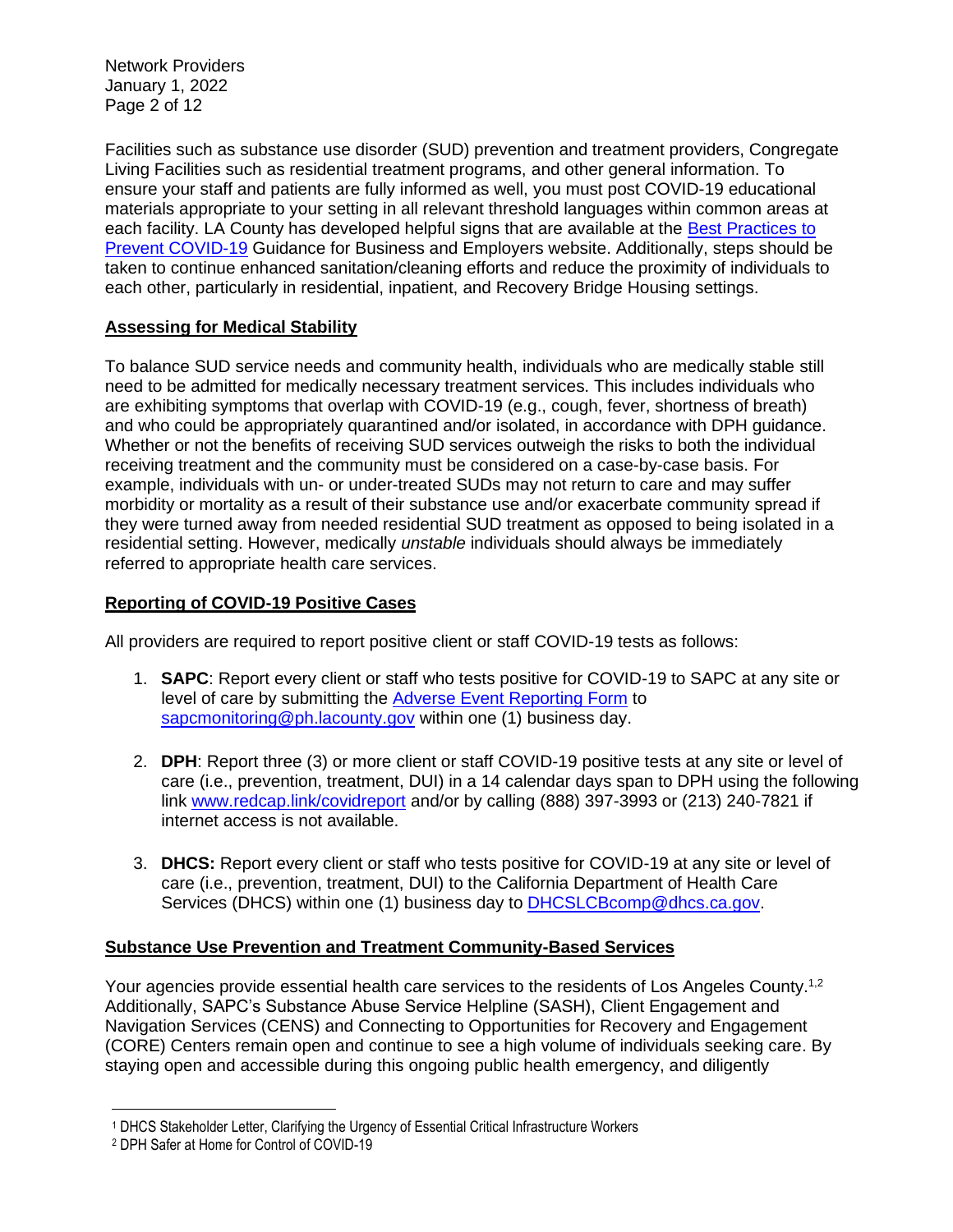Network Providers January 1, 2022 Page 2 of 12

Facilities such as substance use disorder (SUD) prevention and treatment providers, Congregate Living Facilities such as residential treatment programs, and other general information. To ensure your staff and patients are fully informed as well, you must post COVID-19 educational materials appropriate to your setting in all relevant threshold languages within common areas at each facility. LA County has developed helpful signs that are available at the [Best Practices to](http://publichealth.lacounty.gov/acd/ncorona2019/BestPractices/#signage)  [Prevent COVID-19](http://publichealth.lacounty.gov/acd/ncorona2019/BestPractices/#signage) Guidance for Business and Employers website. Additionally, steps should be taken to continue enhanced sanitation/cleaning efforts and reduce the proximity of individuals to each other, particularly in residential, inpatient, and Recovery Bridge Housing settings.

# **Assessing for Medical Stability**

To balance SUD service needs and community health, individuals who are medically stable still need to be admitted for medically necessary treatment services. This includes individuals who are exhibiting symptoms that overlap with COVID-19 (e.g., cough, fever, shortness of breath) and who could be appropriately quarantined and/or isolated, in accordance with DPH guidance. Whether or not the benefits of receiving SUD services outweigh the risks to both the individual receiving treatment and the community must be considered on a case-by-case basis. For example, individuals with un- or under-treated SUDs may not return to care and may suffer morbidity or mortality as a result of their substance use and/or exacerbate community spread if they were turned away from needed residential SUD treatment as opposed to being isolated in a residential setting. However, medically *unstable* individuals should always be immediately referred to appropriate health care services.

# **Reporting of COVID-19 Positive Cases**

All providers are required to report positive client or staff COVID-19 tests as follows:

- 1. **SAPC**: Report every client or staff who tests positive for COVID-19 to SAPC at any site or level of care by submitting the [Adverse Event Reporting Form](http://publichealth.lacounty.gov/sapc/NetworkProviders/ClinicalForms/AQI/AdverseEventReportingForm.pdf) to [sapcmonitoring@ph.lacounty.gov](mailto:sapcmonitoring@ph.lacounty.gov) within one (1) business day.
- 2. **DPH**: Report three (3) or more client or staff COVID-19 positive tests at any site or level of care (i.e., prevention, treatment, DUI) in a 14 calendar days span to DPH using the following link [www.redcap.link/covidreport](http://www.redcap.link/covidreport) and/or by calling (888) 397-3993 or (213) 240-7821 if internet access is not available.
- 3. **DHCS:** Report every client or staff who tests positive for COVID-19 at any site or level of care (i.e., prevention, treatment, DUI) to the California Department of Health Care Services (DHCS) within one (1) business day to [DHCSLCBcomp@dhcs.ca.gov.](mailto:DHCSLCBcomp@dhcs.ca.gov)

## **Substance Use Prevention and Treatment Community-Based Services**

Your agencies provide essential health care services to the residents of Los Angeles County.<sup>1,2</sup> Additionally, SAPC's Substance Abuse Service Helpline (SASH), Client Engagement and Navigation Services (CENS) and Connecting to Opportunities for Recovery and Engagement (CORE) Centers remain open and continue to see a high volume of individuals seeking care. By staying open and accessible during this ongoing public health emergency, and diligently

<sup>1</sup> DHCS Stakeholder Letter, Clarifying the Urgency of Essential Critical Infrastructure Workers

<sup>2</sup> DPH Safer at Home for Control of COVID-19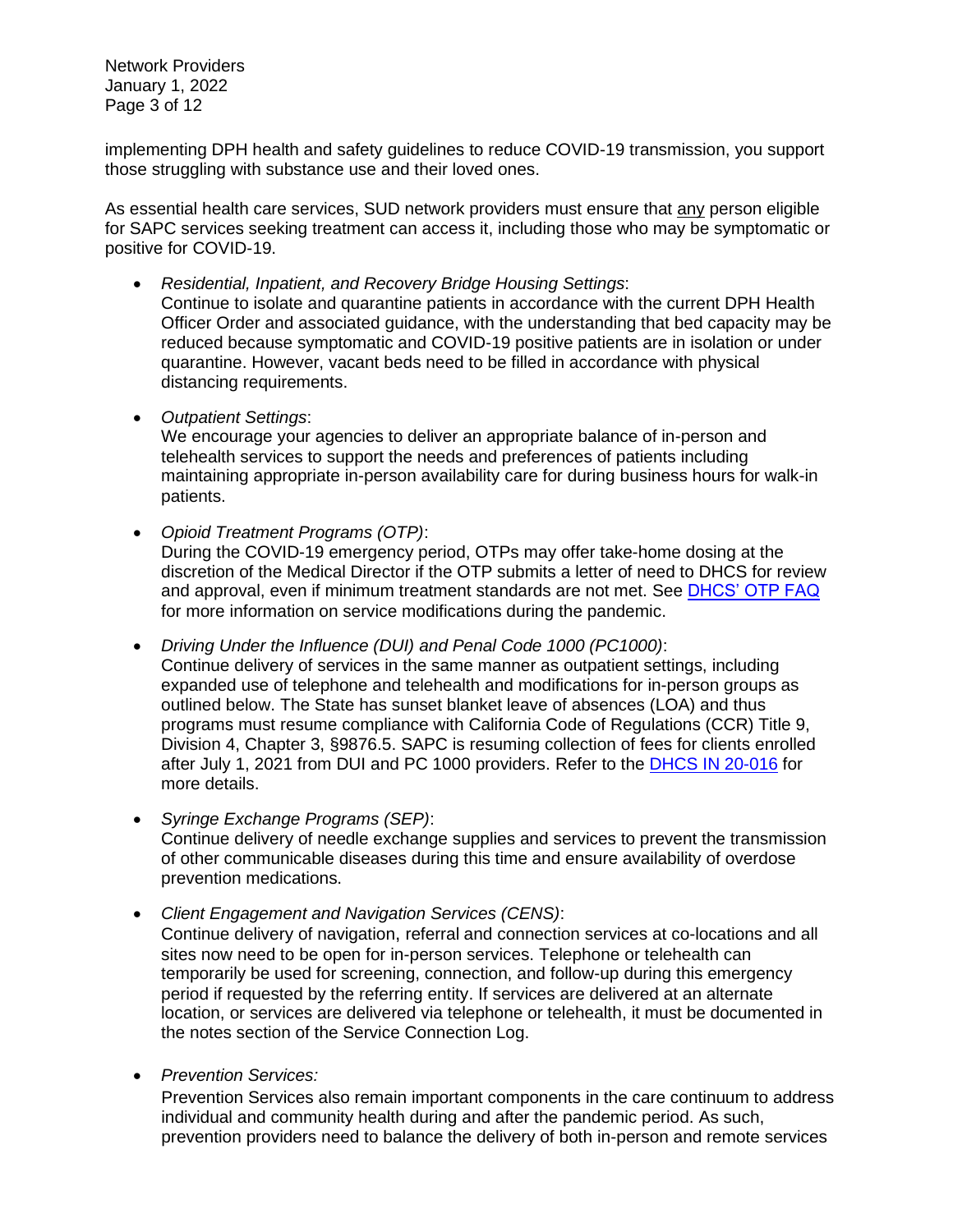Network Providers January 1, 2022 Page 3 of 12

implementing DPH health and safety guidelines to reduce COVID-19 transmission, you support those struggling with substance use and their loved ones.

As essential health care services, SUD network providers must ensure that any person eligible for SAPC services seeking treatment can access it, including those who may be symptomatic or positive for COVID-19.

- *Residential, Inpatient, and Recovery Bridge Housing Settings*: Continue to isolate and quarantine patients in accordance with the current DPH Health Officer Order and associated guidance, with the understanding that bed capacity may be reduced because symptomatic and COVID-19 positive patients are in isolation or under quarantine. However, vacant beds need to be filled in accordance with physical distancing requirements.
- *Outpatient Settings*:

We encourage your agencies to deliver an appropriate balance of in-person and telehealth services to support the needs and preferences of patients including maintaining appropriate in-person availability care for during business hours for walk-in patients.

• *Opioid Treatment Programs (OTP)*: During the COVID-19 emergency period, OTPs may offer take-home dosing at the discretion of the Medical Director if the OTP submits a letter of need to DHCS for review and approval, even if minimum treatment standards are not met. See [DHCS' OTP FAQ](https://www.dhcs.ca.gov/formsandpubs/Documents/Narcotic-Treatment-Program-FAQs-Updated-7-8-2021.pdf) for more information on service modifications during the pandemic.

• *Driving Under the Influence (DUI) and Penal Code 1000 (PC1000)*: Continue delivery of services in the same manner as outpatient settings, including expanded use of telephone and telehealth and modifications for in-person groups as outlined below. The State has sunset blanket leave of absences (LOA) and thus programs must resume compliance with California Code of Regulations (CCR) Title 9, Division 4, Chapter 3, §9876.5. SAPC is resuming collection of fees for clients enrolled after July 1, 2021 from DUI and PC 1000 providers. Refer to the [DHCS IN 20-016](https://www.dhcs.ca.gov/formsandpubs/Documents/BHIN-20-016-Updated-7-8-2021.pdf) for more details.

- *Syringe Exchange Programs (SEP)*: Continue delivery of needle exchange supplies and services to prevent the transmission of other communicable diseases during this time and ensure availability of overdose prevention medications.
- *Client Engagement and Navigation Services (CENS)*: Continue delivery of navigation, referral and connection services at co-locations and all sites now need to be open for in-person services. Telephone or telehealth can temporarily be used for screening, connection, and follow-up during this emergency period if requested by the referring entity. If services are delivered at an alternate location, or services are delivered via telephone or telehealth, it must be documented in the notes section of the Service Connection Log.
- *Prevention Services:*

Prevention Services also remain important components in the care continuum to address individual and community health during and after the pandemic period. As such, prevention providers need to balance the delivery of both in-person and remote services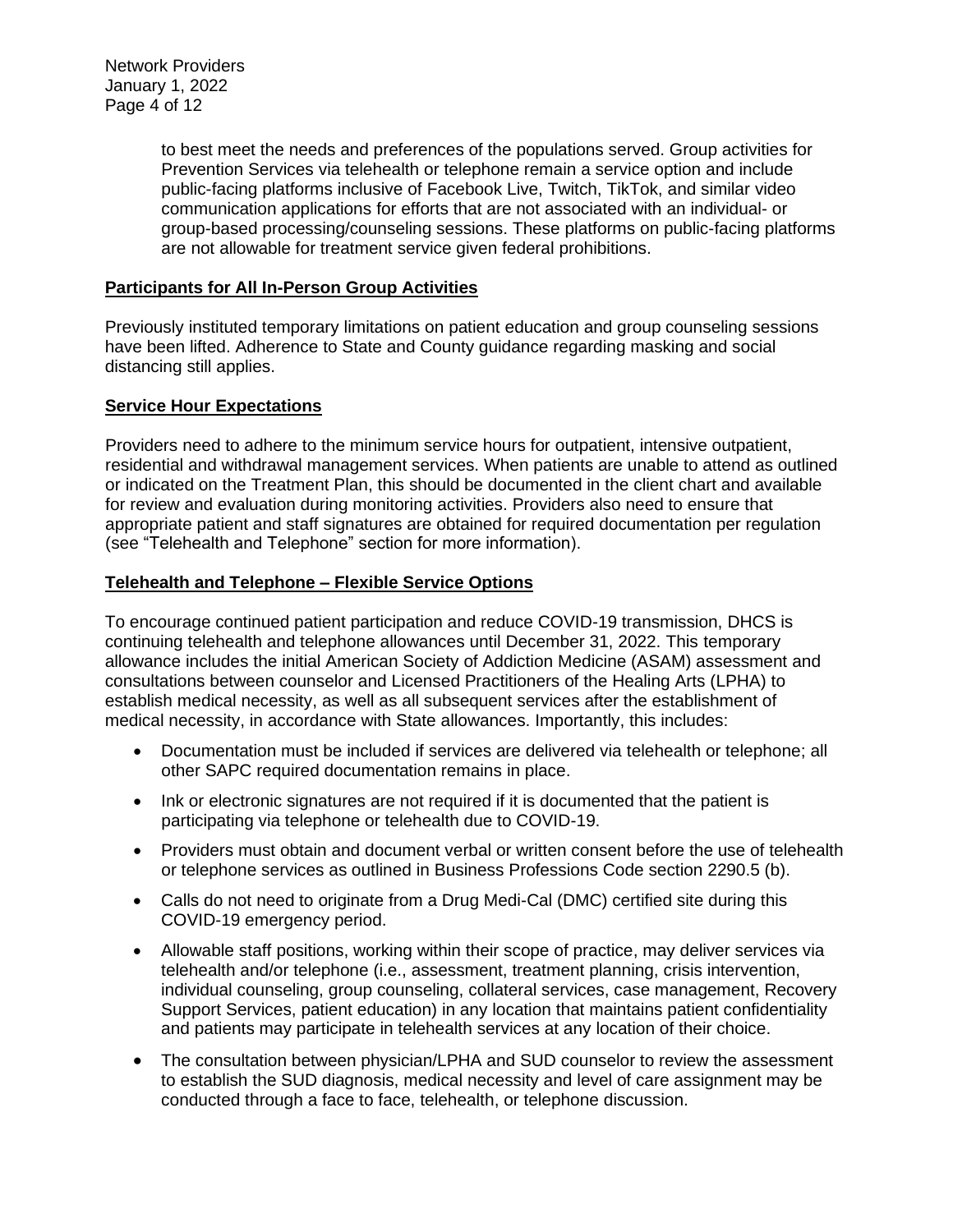Network Providers January 1, 2022 Page 4 of 12

> to best meet the needs and preferences of the populations served. Group activities for Prevention Services via telehealth or telephone remain a service option and include public-facing platforms inclusive of Facebook Live, Twitch, TikTok, and similar video communication applications for efforts that are not associated with an individual- or group-based processing/counseling sessions. These platforms on public-facing platforms are not allowable for treatment service given federal prohibitions.

### **Participants for All In-Person Group Activities**

Previously instituted temporary limitations on patient education and group counseling sessions have been lifted. Adherence to State and County guidance regarding masking and social distancing still applies.

#### **Service Hour Expectations**

Providers need to adhere to the minimum service hours for outpatient, intensive outpatient, residential and withdrawal management services. When patients are unable to attend as outlined or indicated on the Treatment Plan, this should be documented in the client chart and available for review and evaluation during monitoring activities. Providers also need to ensure that appropriate patient and staff signatures are obtained for required documentation per regulation (see "Telehealth and Telephone" section for more information).

#### **Telehealth and Telephone – Flexible Service Options**

To encourage continued patient participation and reduce COVID-19 transmission, DHCS is continuing telehealth and telephone allowances until December 31, 2022. This temporary allowance includes the initial American Society of Addiction Medicine (ASAM) assessment and consultations between counselor and Licensed Practitioners of the Healing Arts (LPHA) to establish medical necessity, as well as all subsequent services after the establishment of medical necessity, in accordance with State allowances. Importantly, this includes:

- Documentation must be included if services are delivered via telehealth or telephone; all other SAPC required documentation remains in place.
- Ink or electronic signatures are not required if it is documented that the patient is participating via telephone or telehealth due to COVID-19.
- Providers must obtain and document verbal or written consent before the use of telehealth or telephone services as outlined in Business Professions Code section 2290.5 (b).
- Calls do not need to originate from a Drug Medi-Cal (DMC) certified site during this COVID-19 emergency period.
- Allowable staff positions, working within their scope of practice, may deliver services via telehealth and/or telephone (i.e., assessment, treatment planning, crisis intervention, individual counseling, group counseling, collateral services, case management, Recovery Support Services, patient education) in any location that maintains patient confidentiality and patients may participate in telehealth services at any location of their choice.
- The consultation between physician/LPHA and SUD counselor to review the assessment to establish the SUD diagnosis, medical necessity and level of care assignment may be conducted through a face to face, telehealth, or telephone discussion.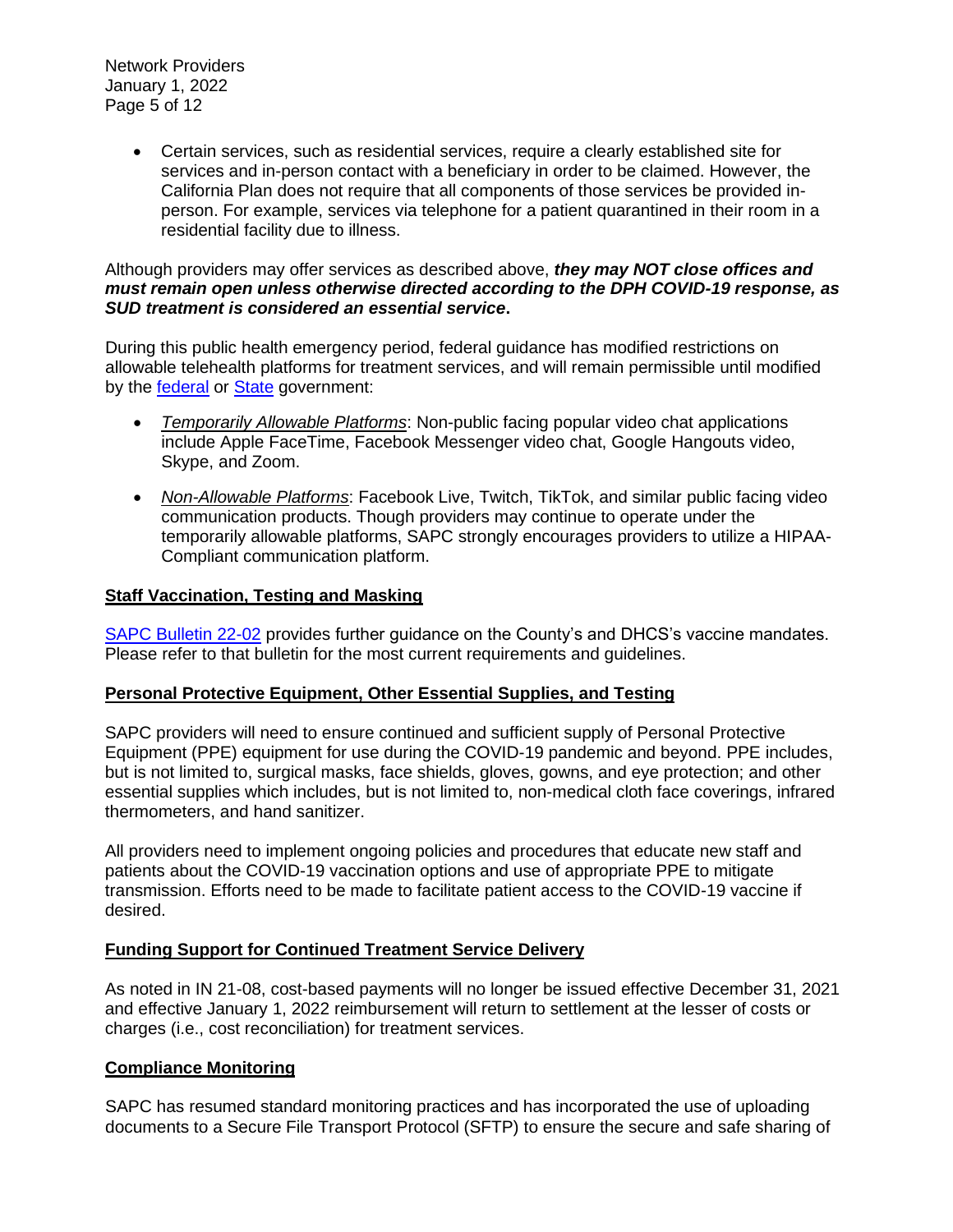Network Providers January 1, 2022 Page 5 of 12

> • Certain services, such as residential services, require a clearly established site for services and in-person contact with a beneficiary in order to be claimed. However, the California Plan does not require that all components of those services be provided inperson. For example, services via telephone for a patient quarantined in their room in a residential facility due to illness.

#### Although providers may offer services as described above, *they may NOT close offices and must remain open unless otherwise directed according to the DPH COVID-19 response, as SUD treatment is considered an essential service***.**

During this public health emergency period, federal guidance has modified restrictions on allowable telehealth platforms for treatment services, and will remain permissible until modified by the [federal](https://www.hhs.gov/hipaa/for-professionals/special-topics/emergency-preparedness/notification-enforcement-discretion-telehealth/index.html) or [State](https://www.dhcs.ca.gov/services/Documents/Weekly-All-BH-Provider-Call-Brief-Summary-07-07-2021.pdf) government:

- *Temporarily Allowable Platforms*: Non-public facing popular video chat applications include Apple FaceTime, Facebook Messenger video chat, Google Hangouts video, Skype, and Zoom.
- *Non-Allowable Platforms*: Facebook Live, Twitch, TikTok, and similar public facing video communication products. Though providers may continue to operate under the temporarily allowable platforms, SAPC strongly encourages providers to utilize a HIPAA-Compliant communication platform.

### **Staff Vaccination, Testing and Masking**

[SAPC Bulletin 22-02](http://publichealth.lacounty.gov/sapc/NetworkProviders/Regulations.htm) provides further guidance on the County's and DHCS's vaccine mandates. Please refer to that bulletin for the most current requirements and guidelines.

### **Personal Protective Equipment, Other Essential Supplies, and Testing**

SAPC providers will need to ensure continued and sufficient supply of Personal Protective Equipment (PPE) equipment for use during the COVID-19 pandemic and beyond. PPE includes, but is not limited to, surgical masks, face shields, gloves, gowns, and eye protection; and other essential supplies which includes, but is not limited to, non-medical cloth face coverings, infrared thermometers, and hand sanitizer.

All providers need to implement ongoing policies and procedures that educate new staff and patients about the COVID-19 vaccination options and use of appropriate PPE to mitigate transmission. Efforts need to be made to facilitate patient access to the COVID-19 vaccine if desired.

### **Funding Support for Continued Treatment Service Delivery**

As noted in IN 21-08, cost-based payments will no longer be issued effective December 31, 2021 and effective January 1, 2022 reimbursement will return to settlement at the lesser of costs or charges (i.e., cost reconciliation) for treatment services.

### **Compliance Monitoring**

SAPC has resumed standard monitoring practices and has incorporated the use of uploading documents to a Secure File Transport Protocol (SFTP) to ensure the secure and safe sharing of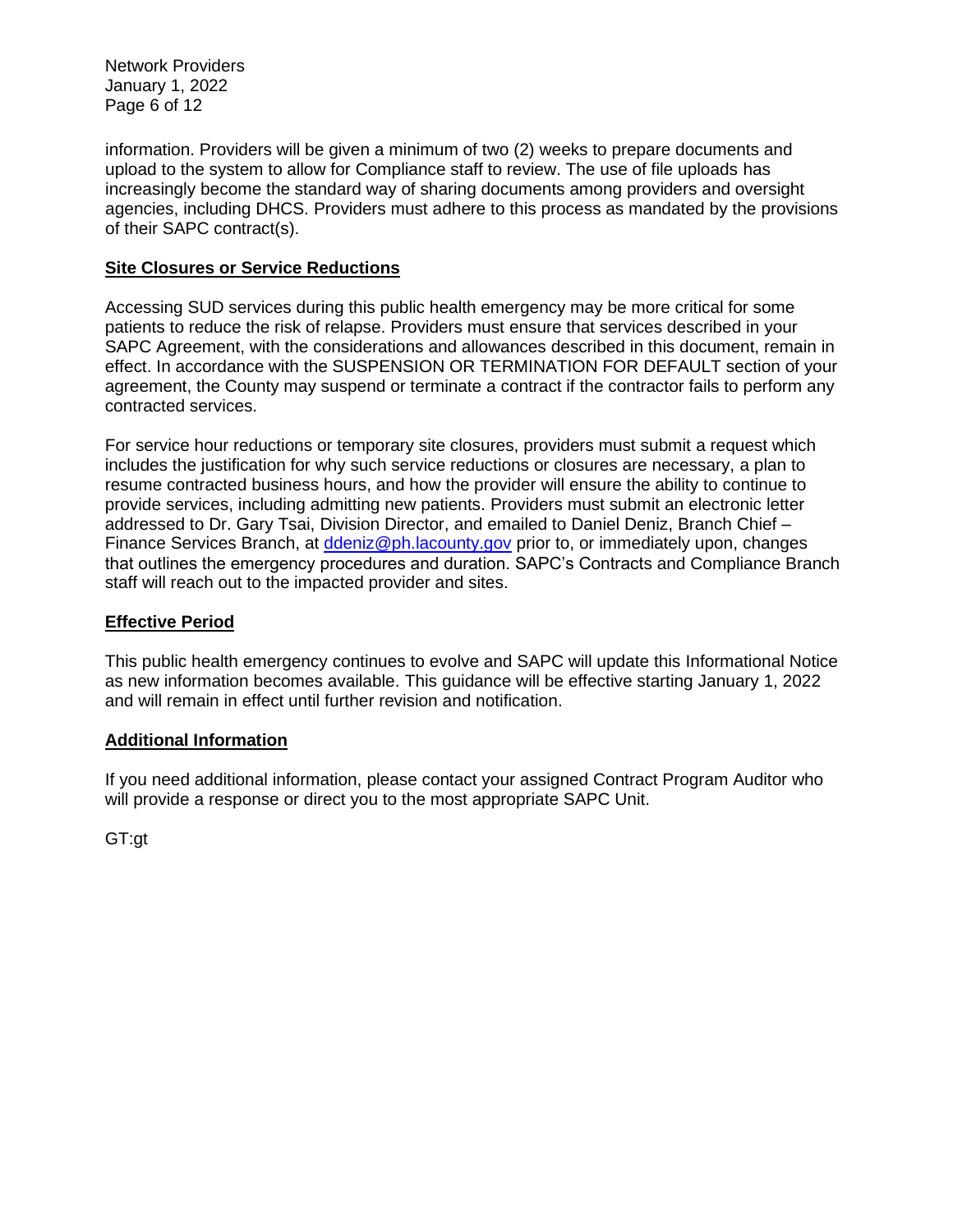Network Providers January 1, 2022 Page 6 of 12

information. Providers will be given a minimum of two (2) weeks to prepare documents and upload to the system to allow for Compliance staff to review. The use of file uploads has increasingly become the standard way of sharing documents among providers and oversight agencies, including DHCS. Providers must adhere to this process as mandated by the provisions of their SAPC contract(s).

### **Site Closures or Service Reductions**

Accessing SUD services during this public health emergency may be more critical for some patients to reduce the risk of relapse. Providers must ensure that services described in your SAPC Agreement, with the considerations and allowances described in this document, remain in effect. In accordance with the SUSPENSION OR TERMINATION FOR DEFAULT section of your agreement, the County may suspend or terminate a contract if the contractor fails to perform any contracted services.

For service hour reductions or temporary site closures, providers must submit a request which includes the justification for why such service reductions or closures are necessary, a plan to resume contracted business hours, and how the provider will ensure the ability to continue to provide services, including admitting new patients. Providers must submit an electronic letter addressed to Dr. Gary Tsai, Division Director, and emailed to Daniel Deniz, Branch Chief – Finance Services Branch, at [ddeniz@ph.lacounty.gov](mailto:ddeniz@ph.lacounty.gov) prior to, or immediately upon, changes that outlines the emergency procedures and duration. SAPC's Contracts and Compliance Branch staff will reach out to the impacted provider and sites.

## **Effective Period**

This public health emergency continues to evolve and SAPC will update this Informational Notice as new information becomes available. This guidance will be effective starting January 1, 2022 and will remain in effect until further revision and notification.

### **Additional Information**

If you need additional information, please contact your assigned Contract Program Auditor who will provide a response or direct you to the most appropriate SAPC Unit.

GT:gt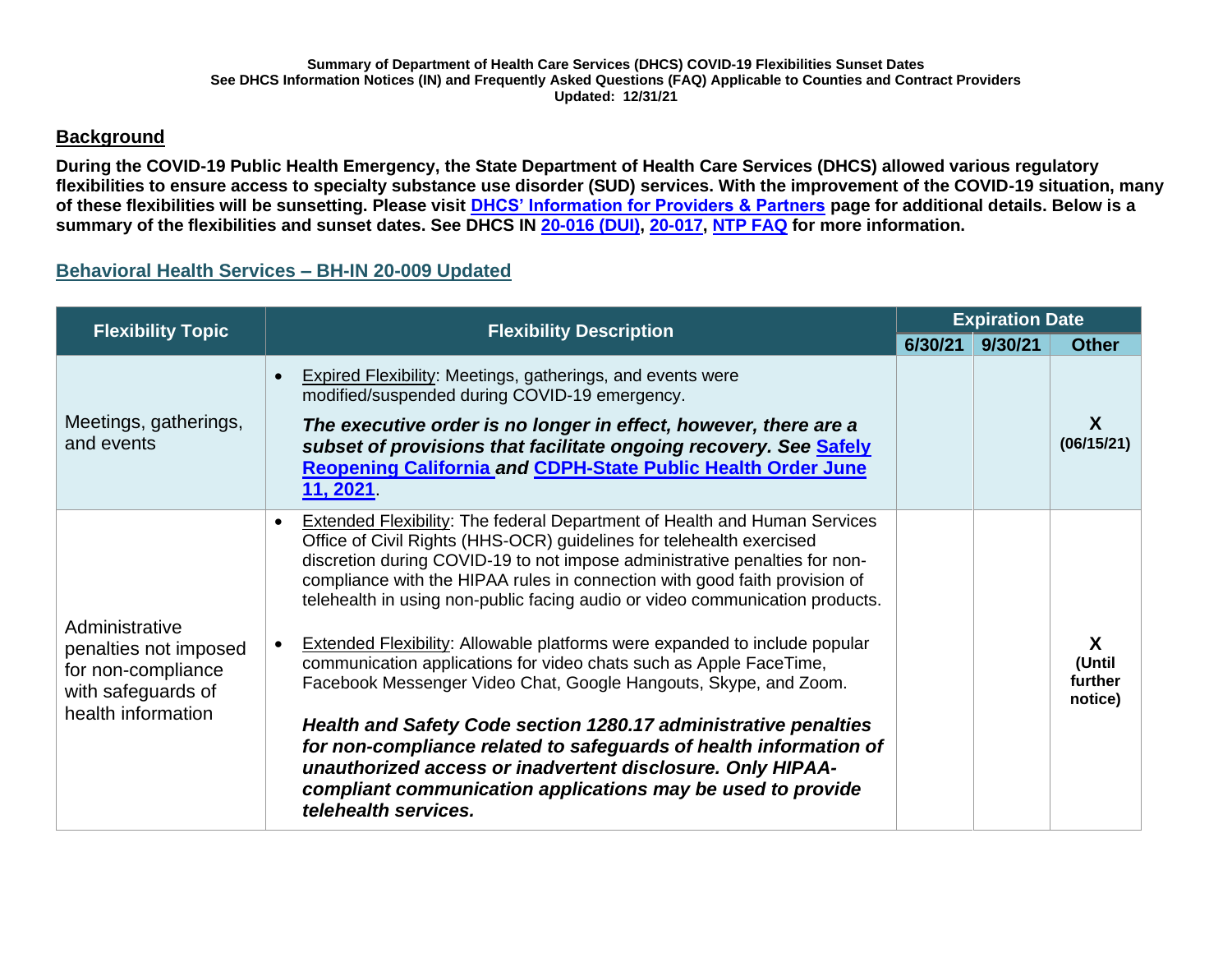## **Background**

**During the COVID-19 Public Health Emergency, the State Department of Health Care Services (DHCS) allowed various regulatory flexibilities to ensure access to specialty substance use disorder (SUD) services. With the improvement of the COVID-19 situation, many of these flexibilities will be sunsetting. Please visit [DHCS' Information for Providers & Partners](https://www.dhcs.ca.gov/Pages/COVID-19-Pro-Part.aspx) page for additional details. Below is a summary of the flexibilities and sunset dates. See DHCS IN [20-016 \(DUI\),](https://www.dhcs.ca.gov/formsandpubs/Documents/BHIN-20-016-Updated-7-8-2021.pdf) [20-017,](https://www.dhcs.ca.gov/formsandpubs/Documents/BHIN-20-017-Updated-7-8-2021.pdf) [NTP FAQ](https://www.dhcs.ca.gov/formsandpubs/Documents/Narcotic-Treatment-Program-FAQs-Updated-7-8-2021.pdf) for more information.** 

## **Behavioral Health Services – BH-IN 20-009 Updated**

| <b>Flexibility Topic</b>                                                                                  | <b>Flexibility Description</b>                                                                                                                                                                                                                                                                                                                                                                                                                                                                                                                                                                                                                                                                                                                                                                                                                                                                                            |         | <b>Expiration Date</b> |                                   |
|-----------------------------------------------------------------------------------------------------------|---------------------------------------------------------------------------------------------------------------------------------------------------------------------------------------------------------------------------------------------------------------------------------------------------------------------------------------------------------------------------------------------------------------------------------------------------------------------------------------------------------------------------------------------------------------------------------------------------------------------------------------------------------------------------------------------------------------------------------------------------------------------------------------------------------------------------------------------------------------------------------------------------------------------------|---------|------------------------|-----------------------------------|
|                                                                                                           |                                                                                                                                                                                                                                                                                                                                                                                                                                                                                                                                                                                                                                                                                                                                                                                                                                                                                                                           | 6/30/21 | 9/30/21                | <b>Other</b>                      |
| Meetings, gatherings,<br>and events                                                                       | <b>Expired Flexibility: Meetings, gatherings, and events were</b><br>modified/suspended during COVID-19 emergency.<br>The executive order is no longer in effect, however, there are a<br>subset of provisions that facilitate ongoing recovery. See Safely<br>Reopening California and CDPH-State Public Health Order June<br>11, 2021.                                                                                                                                                                                                                                                                                                                                                                                                                                                                                                                                                                                  |         |                        | X<br>(06/15/21)                   |
| Administrative<br>penalties not imposed<br>for non-compliance<br>with safeguards of<br>health information | Extended Flexibility: The federal Department of Health and Human Services<br>Office of Civil Rights (HHS-OCR) guidelines for telehealth exercised<br>discretion during COVID-19 to not impose administrative penalties for non-<br>compliance with the HIPAA rules in connection with good faith provision of<br>telehealth in using non-public facing audio or video communication products.<br><b>Extended Flexibility: Allowable platforms were expanded to include popular</b><br>communication applications for video chats such as Apple FaceTime,<br>Facebook Messenger Video Chat, Google Hangouts, Skype, and Zoom.<br>Health and Safety Code section 1280.17 administrative penalties<br>for non-compliance related to safeguards of health information of<br>unauthorized access or inadvertent disclosure. Only HIPAA-<br>compliant communication applications may be used to provide<br>telehealth services. |         |                        | X<br>(Until<br>further<br>notice) |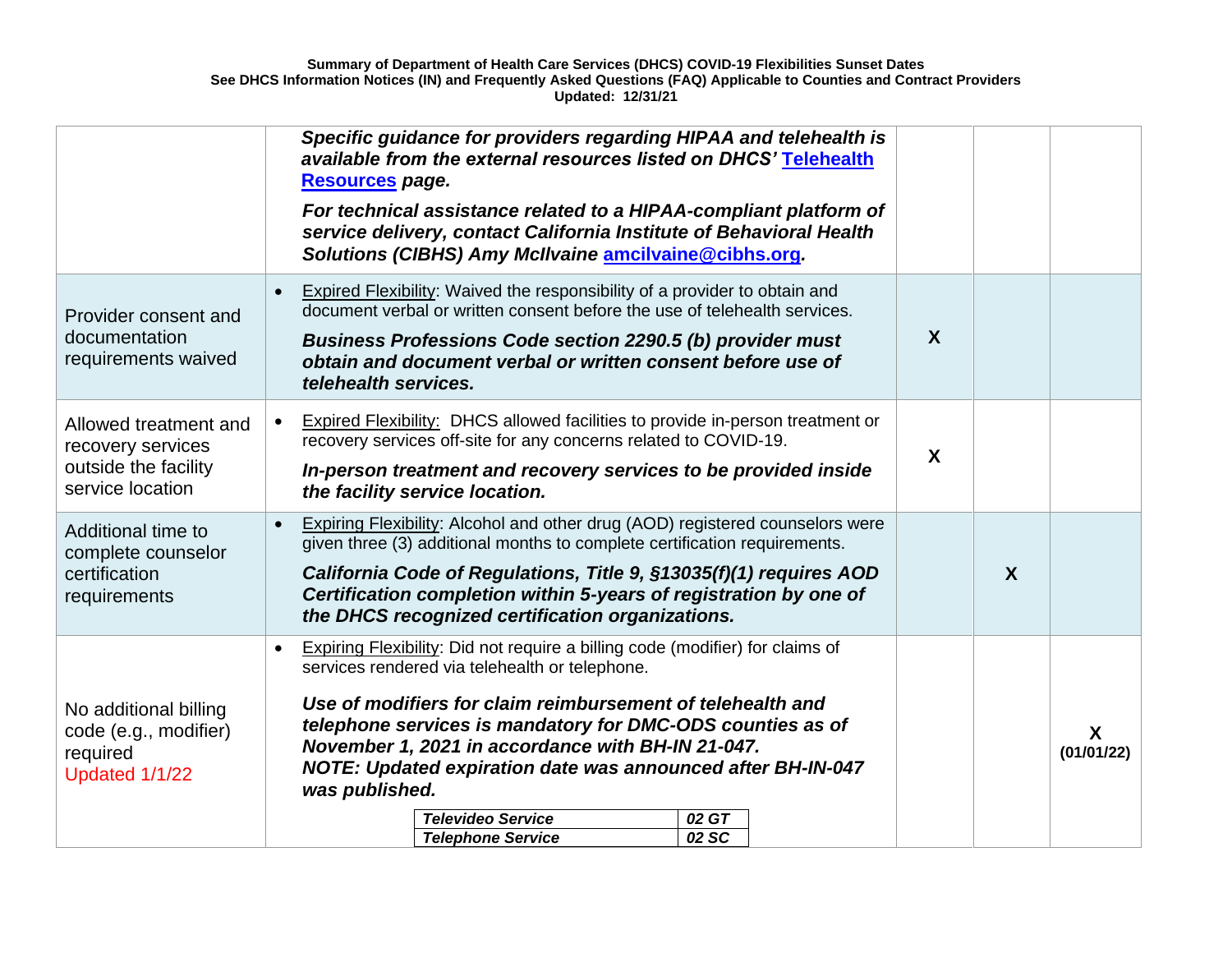|                                                                                        | Specific guidance for providers regarding HIPAA and telehealth is<br>available from the external resources listed on DHCS' Telehealth<br>Resources page.<br>For technical assistance related to a HIPAA-compliant platform of<br>service delivery, contact California Institute of Behavioral Health<br>Solutions (CIBHS) Amy McIlvaine amcilvaine@cibhs.org.                                                                                                                      |                  |                            |
|----------------------------------------------------------------------------------------|------------------------------------------------------------------------------------------------------------------------------------------------------------------------------------------------------------------------------------------------------------------------------------------------------------------------------------------------------------------------------------------------------------------------------------------------------------------------------------|------------------|----------------------------|
| Provider consent and<br>documentation<br>requirements waived                           | <b>Expired Flexibility:</b> Waived the responsibility of a provider to obtain and<br>document verbal or written consent before the use of telehealth services.<br>Business Professions Code section 2290.5 (b) provider must<br>obtain and document verbal or written consent before use of<br>telehealth services.                                                                                                                                                                | X                |                            |
| Allowed treatment and<br>recovery services<br>outside the facility<br>service location | Expired Flexibility: DHCS allowed facilities to provide in-person treatment or<br>recovery services off-site for any concerns related to COVID-19.<br>In-person treatment and recovery services to be provided inside<br>the facility service location.                                                                                                                                                                                                                            | X                |                            |
| Additional time to<br>complete counselor<br>certification<br>requirements              | <b>Expiring Flexibility:</b> Alcohol and other drug (AOD) registered counselors were<br>given three (3) additional months to complete certification requirements.<br>California Code of Regulations, Title 9, §13035(f)(1) requires AOD<br>Certification completion within 5-years of registration by one of<br>the DHCS recognized certification organizations.                                                                                                                   | $\boldsymbol{X}$ |                            |
| No additional billing<br>code (e.g., modifier)<br>required<br>Updated 1/1/22           | Expiring Flexibility: Did not require a billing code (modifier) for claims of<br>services rendered via telehealth or telephone.<br>Use of modifiers for claim reimbursement of telehealth and<br>telephone services is mandatory for DMC-ODS counties as of<br>November 1, 2021 in accordance with BH-IN 21-047.<br><b>NOTE: Updated expiration date was announced after BH-IN-047</b><br>was published.<br><b>Televideo Service</b><br>02 GT<br>02 SC<br><b>Telephone Service</b> |                  | $\mathbf{x}$<br>(01/01/22) |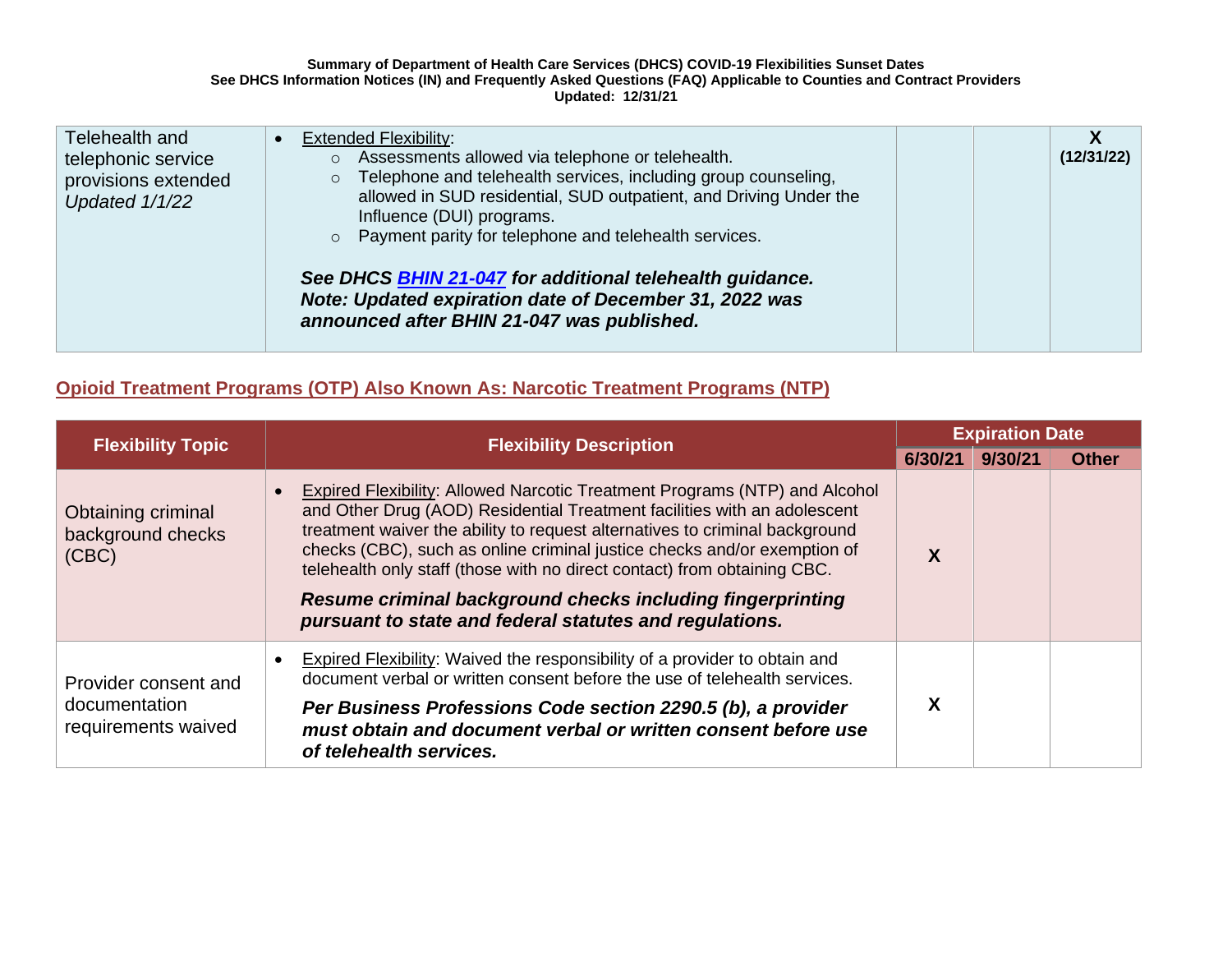| Telehealth and                                              | <b>Extended Flexibility:</b><br>$\bullet$                                                                                                                                                                                                  |            |
|-------------------------------------------------------------|--------------------------------------------------------------------------------------------------------------------------------------------------------------------------------------------------------------------------------------------|------------|
| telephonic service<br>provisions extended<br>Updated 1/1/22 | Assessments allowed via telephone or telehealth.<br>$\circ$<br>Telephone and telehealth services, including group counseling,<br>$\circ$<br>allowed in SUD residential, SUD outpatient, and Driving Under the<br>Influence (DUI) programs. | (12/31/22) |
|                                                             | o Payment parity for telephone and telehealth services.<br>See DHCS <b>BHIN 21-047</b> for additional telehealth guidance.<br>Note: Updated expiration date of December 31, 2022 was<br>announced after BHIN 21-047 was published.         |            |

# **Opioid Treatment Programs (OTP) Also Known As: Narcotic Treatment Programs (NTP)**

| <b>Flexibility Topic</b>                                     | <b>Flexibility Description</b>                                                                                                                                                                                                                                                                                                                                                                                                                                                                                         | <b>Expiration Date</b> |         |              |  |
|--------------------------------------------------------------|------------------------------------------------------------------------------------------------------------------------------------------------------------------------------------------------------------------------------------------------------------------------------------------------------------------------------------------------------------------------------------------------------------------------------------------------------------------------------------------------------------------------|------------------------|---------|--------------|--|
|                                                              | 6/30/21                                                                                                                                                                                                                                                                                                                                                                                                                                                                                                                |                        | 9/30/21 | <b>Other</b> |  |
| Obtaining criminal<br>background checks<br>(CBC)             | Expired Flexibility: Allowed Narcotic Treatment Programs (NTP) and Alcohol<br>and Other Drug (AOD) Residential Treatment facilities with an adolescent<br>treatment waiver the ability to request alternatives to criminal background<br>checks (CBC), such as online criminal justice checks and/or exemption of<br>telehealth only staff (those with no direct contact) from obtaining CBC.<br>Resume criminal background checks including fingerprinting<br>pursuant to state and federal statutes and regulations. | X                      |         |              |  |
| Provider consent and<br>documentation<br>requirements waived | <b>Expired Flexibility:</b> Waived the responsibility of a provider to obtain and<br>document verbal or written consent before the use of telehealth services.                                                                                                                                                                                                                                                                                                                                                         |                        |         |              |  |
|                                                              | Per Business Professions Code section 2290.5 (b), a provider<br>must obtain and document verbal or written consent before use<br>of telehealth services.                                                                                                                                                                                                                                                                                                                                                               | χ                      |         |              |  |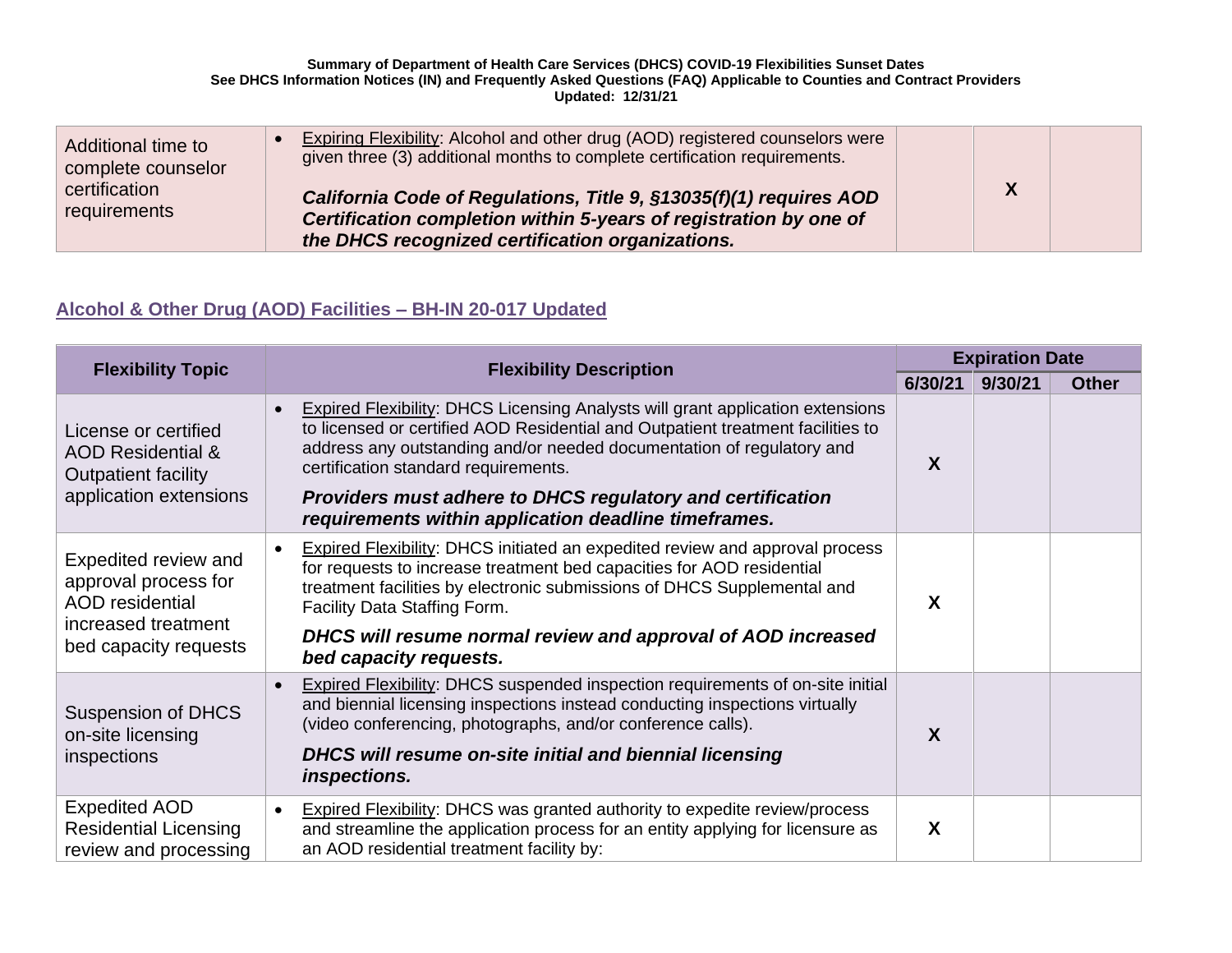| Additional time to<br>complete counselor | Expiring Flexibility: Alcohol and other drug (AOD) registered counselors were<br>given three (3) additional months to complete certification requirements.                                  |                  |  |
|------------------------------------------|---------------------------------------------------------------------------------------------------------------------------------------------------------------------------------------------|------------------|--|
| certification<br>requirements            | California Code of Regulations, Title 9, §13035(f)(1) requires AOD<br>Certification completion within 5-years of registration by one of<br>the DHCS recognized certification organizations. | $\boldsymbol{X}$ |  |

# **Alcohol & Other Drug (AOD) Facilities – [BH-IN 20-017](https://www.dhcs.ca.gov/formsandpubs/Documents/BHIN-20-017-Updated-7-8-2021.pdf) Updated**

| <b>Flexibility Topic</b>                                                                                               | <b>Flexibility Description</b>                                                                                                                                                                                                                                                                                                                                                                                               | <b>Expiration Date</b> |         |              |
|------------------------------------------------------------------------------------------------------------------------|------------------------------------------------------------------------------------------------------------------------------------------------------------------------------------------------------------------------------------------------------------------------------------------------------------------------------------------------------------------------------------------------------------------------------|------------------------|---------|--------------|
|                                                                                                                        |                                                                                                                                                                                                                                                                                                                                                                                                                              | 6/30/21                | 9/30/21 | <b>Other</b> |
| License or certified<br><b>AOD Residential &amp;</b><br><b>Outpatient facility</b><br>application extensions           | <b>Expired Flexibility: DHCS Licensing Analysts will grant application extensions</b><br>$\bullet$<br>to licensed or certified AOD Residential and Outpatient treatment facilities to<br>address any outstanding and/or needed documentation of regulatory and<br>certification standard requirements.<br>Providers must adhere to DHCS regulatory and certification<br>requirements within application deadline timeframes. | X                      |         |              |
| Expedited review and<br>approval process for<br><b>AOD</b> residential<br>increased treatment<br>bed capacity requests | <b>Expired Flexibility: DHCS initiated an expedited review and approval process</b><br>$\bullet$<br>for requests to increase treatment bed capacities for AOD residential<br>treatment facilities by electronic submissions of DHCS Supplemental and<br>Facility Data Staffing Form.<br>DHCS will resume normal review and approval of AOD increased<br>bed capacity requests.                                               | X                      |         |              |
| <b>Suspension of DHCS</b><br>on-site licensing<br>inspections                                                          | <b>Expired Flexibility: DHCS suspended inspection requirements of on-site initial</b><br>$\bullet$<br>and biennial licensing inspections instead conducting inspections virtually<br>(video conferencing, photographs, and/or conference calls).<br>DHCS will resume on-site initial and biennial licensing<br>inspections.                                                                                                  | X                      |         |              |
| <b>Expedited AOD</b><br><b>Residential Licensing</b><br>review and processing                                          | <b>Expired Flexibility: DHCS was granted authority to expedite review/process</b><br>$\bullet$<br>and streamline the application process for an entity applying for licensure as<br>an AOD residential treatment facility by:                                                                                                                                                                                                | X                      |         |              |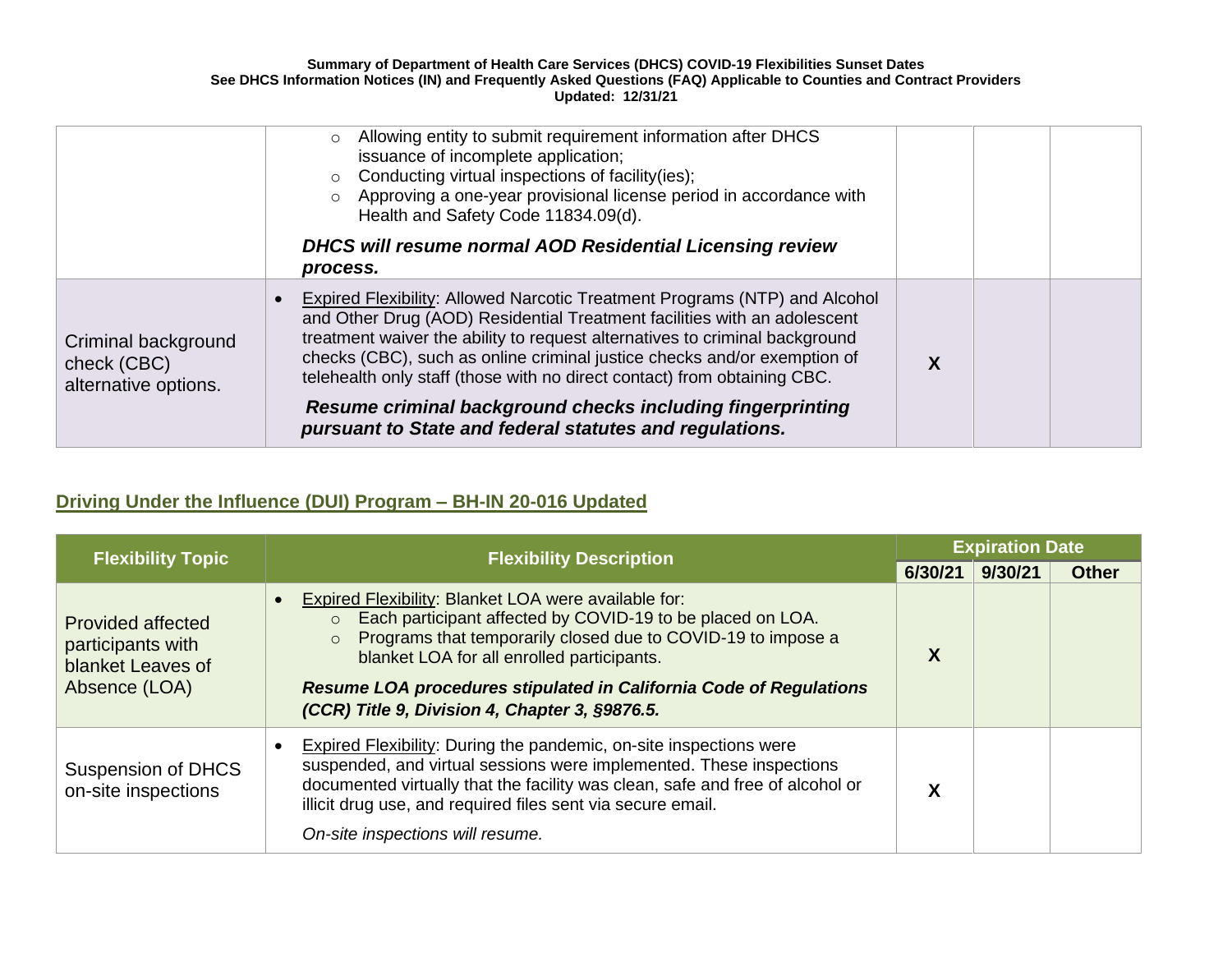|                                                            | Allowing entity to submit requirement information after DHCS<br>$\circ$<br>issuance of incomplete application;<br>Conducting virtual inspections of facility(ies);<br>$\circ$<br>o Approving a one-year provisional license period in accordance with<br>Health and Safety Code 11834.09(d).<br>DHCS will resume normal AOD Residential Licensing review                                                                                                                                                               |  |  |
|------------------------------------------------------------|------------------------------------------------------------------------------------------------------------------------------------------------------------------------------------------------------------------------------------------------------------------------------------------------------------------------------------------------------------------------------------------------------------------------------------------------------------------------------------------------------------------------|--|--|
|                                                            | process.                                                                                                                                                                                                                                                                                                                                                                                                                                                                                                               |  |  |
| Criminal background<br>check (CBC)<br>alternative options. | Expired Flexibility: Allowed Narcotic Treatment Programs (NTP) and Alcohol<br>and Other Drug (AOD) Residential Treatment facilities with an adolescent<br>treatment waiver the ability to request alternatives to criminal background<br>checks (CBC), such as online criminal justice checks and/or exemption of<br>telehealth only staff (those with no direct contact) from obtaining CBC.<br>Resume criminal background checks including fingerprinting<br>pursuant to State and federal statutes and regulations. |  |  |

# **Driving Under the Influence (DUI) Program – BH-IN 20-016 Updated**

| <b>Flexibility Topic</b>                                                            | <b>Flexibility Description</b>                                                                                                                                                                                                                                                                                                                                                 | <b>Expiration Date</b> |         |              |  |
|-------------------------------------------------------------------------------------|--------------------------------------------------------------------------------------------------------------------------------------------------------------------------------------------------------------------------------------------------------------------------------------------------------------------------------------------------------------------------------|------------------------|---------|--------------|--|
|                                                                                     |                                                                                                                                                                                                                                                                                                                                                                                | 6/30/21                | 9/30/21 | <b>Other</b> |  |
| <b>Provided affected</b><br>participants with<br>blanket Leaves of<br>Absence (LOA) | Expired Flexibility: Blanket LOA were available for:<br>Each participant affected by COVID-19 to be placed on LOA.<br>$\circ$<br>Programs that temporarily closed due to COVID-19 to impose a<br>$\circ$<br>blanket LOA for all enrolled participants.<br>Resume LOA procedures stipulated in California Code of Regulations<br>(CCR) Title 9, Division 4, Chapter 3, §9876.5. | X                      |         |              |  |
| <b>Suspension of DHCS</b><br>on-site inspections                                    | <b>Expired Flexibility: During the pandemic, on-site inspections were</b><br>suspended, and virtual sessions were implemented. These inspections<br>documented virtually that the facility was clean, safe and free of alcohol or<br>illicit drug use, and required files sent via secure email.<br>On-site inspections will resume.                                           | χ                      |         |              |  |